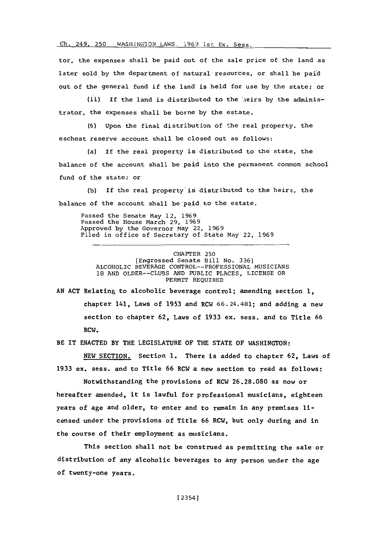Ch. 249, 250 WASHINGION LAWS, 1969 1st Ex. Sess.

tor, the expenses shall be paid out of the sale price of the land as later sold by the department of natural resources, or shall be paid out of the general fund if the land is held for use **by** the state; or

(ii) If the land is distributed to the '.ieirs **by** the administrator, the expenses shall be borne **by** the estate.

**(6)** Upon the final distribution of the real property, the escheat reserve account shall be closed out as follows:

(a) If the real property is distributed to the state, the balance of the account shall be paid into the permanent common school fund of the state; or

**(b)** If the real property'is distributed to the heirs, the balance of the account shall be paid to the estate.

Passed the Senate May 12, **1969** Passed the House March **29, 1969** Approved **by** the Governor May 22, **1969** Filed in office of Secretary of State May 22, **1969**

CHAPTER **250** [Engrossed Senate Bill No. **<sup>3361</sup> ALCOHOLIC** BEVERAGE CONTROL--PROFESSIONAL MUSICIANS **18 AND OLDER--CLUBS AND** PUBLIC **PLACES,** LICENSE OR PERMIT **REQUIRED**

**AN ACT** Relating to alcoholic beverage control; amending section **1,** chapter 141, Laws of **1953** and RCW 66.24.481; and adding a new section to chapter **62,** Laws of **1933** ex. sess. and to Title **66** RCW.

BE IT **ENACTED** BY THE LEGISLATURE OF THE **STATE** OF WASHINGTON:

**NEW** SECTION. Section **1.** There is added to chapter **62,** Laws of **1933** ex. sess. and to Title **66** RCW a new section to read as follows:

Notwithstanding the provisions of RCW **26.28.080** as now or hereafter amended, it is lawful for professional musicians, eighteen years of age and older, to enter and to remain in any premises licensed under the provisions of Title **66** RCW, but only during and in the course of their employment as musicians.

This section shall not be construed as permitting the sale or distribution of any alcoholic beverages to any person under the age of twenty-one years.